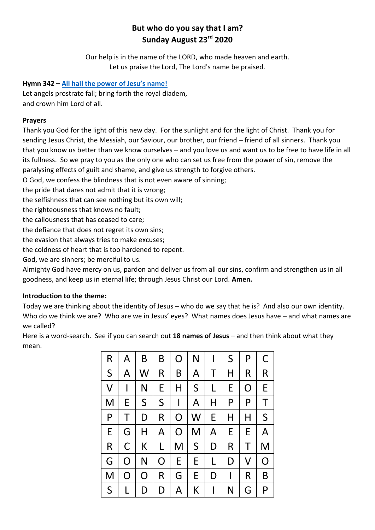# **But who do you say that I am? Sunday August 23rd 2020**

Our help is in the name of the LORD, who made heaven and earth. Let us praise the Lord, The Lord's name be praised.

# **Hymn 342 – [All hail the power of Jesu's name!](https://www.youtube.com/watch?v=G-N9_SdxW4c)**

Let angels prostrate fall; bring forth the royal diadem, and crown him Lord of all.

# **Prayers**

Thank you God for the light of this new day. For the sunlight and for the light of Christ. Thank you for sending Jesus Christ, the Messiah, our Saviour, our brother, our friend – friend of all sinners. Thank you that you know us better than we know ourselves – and you love us and want us to be free to have life in all its fullness. So we pray to you as the only one who can set us free from the power of sin, remove the paralysing effects of guilt and shame, and give us strength to forgive others.

O God, we confess the blindness that is not even aware of sinning;

the pride that dares not admit that it is wrong;

the selfishness that can see nothing but its own will;

the righteousness that knows no fault;

the callousness that has ceased to care;

the defiance that does not regret its own sins;

the evasion that always tries to make excuses;

the coldness of heart that is too hardened to repent.

God, we are sinners; be merciful to us.

Almighty God have mercy on us, pardon and deliver us from all our sins, confirm and strengthen us in all goodness, and keep us in eternal life; through Jesus Christ our Lord. **Amen.**

# **Introduction to the theme:**

Today we are thinking about the identity of Jesus – who do we say that he is? And also our own identity. Who do we think we are? Who are we in Jesus' eyes? What names does Jesus have – and what names are we called?

Here is a word-search. See if you can search out **18 names of Jesus** – and then think about what they mean.

| R            | A            | B            | B            | O            | N            | l | S           | P | С              |
|--------------|--------------|--------------|--------------|--------------|--------------|---|-------------|---|----------------|
| S            | A            | W            | R            | B            | A            | Τ | Η           | R | R              |
| $\mathsf{V}$ | $\mathsf{l}$ | N            | E            | Η            | $\mathsf{S}$ | L | E           | O | E              |
| M            | E            | $\mathsf{S}$ | $\mathsf{S}$ | $\mathsf{I}$ | A            | Η | P           | P | T              |
| P            | Τ            | D            | R            | O            | W            | E | Η           | Η | $\mathsf{S}$   |
| E            | G            | Η            | A            | O            | M            | A | E           | E | A              |
| R            | C            | К            | L            | M            | $\mathsf{S}$ | D | $\mathsf R$ | Τ | M              |
| G            | O            | N            | O            | E            | E            | L | D           | V | $\overline{O}$ |
| M            | O            | O            | R            | G            | E            | D | I           | R | B              |
| S            | L            | D            | D            | A            | K            | l | N           | G | P              |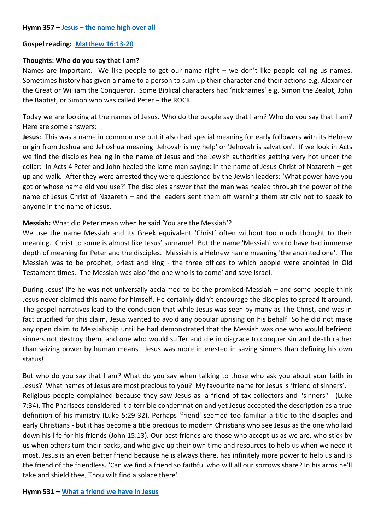# **Gospel reading: [Matthew 16:13-20](https://www.biblegateway.com/passage/?search=Matthew+16%3A13-20&version=NIV)**

### **Thoughts: Who do you say that I am?**

Names are important. We like people to get our name right – we don't like people calling us names. Sometimes history has given a name to a person to sum up their character and their actions e.g. Alexander the Great or William the Conqueror. Some Biblical characters had 'nicknames' e.g. Simon the Zealot, John the Baptist, or Simon who was called Peter – the ROCK.

Today we are looking at the names of Jesus. Who do the people say that I am? Who do you say that I am? Here are some answers:

**Jesus:** This was a name in common use but it also had special meaning for early followers with its Hebrew origin from Joshua and Jehoshua meaning 'Jehovah is my help' or 'Jehovah is salvation'. If we look in Acts we find the disciples healing in the name of Jesus and the Jewish authorities getting very hot under the collar: In Acts 4 Peter and John healed the lame man saying: in the name of Jesus Christ of Nazareth – get up and walk. After they were arrested they were questioned by the Jewish leaders: 'What power have you got or whose name did you use?' The disciples answer that the man was healed through the power of the name of Jesus Christ of Nazareth – and the leaders sent them off warning them strictly not to speak to anyone in the name of Jesus.

# **Messiah:** What did Peter mean when he said 'You are the Messiah'?

We use the name Messiah and its Greek equivalent 'Christ' often without too much thought to their meaning. Christ to some is almost like Jesus' surname! But the name 'Messiah' would have had immense depth of meaning for Peter and the disciples. Messiah is a Hebrew name meaning 'the anointed one'. The Messiah was to be prophet, priest and king - the three offices to which people were anointed in Old Testament times. The Messiah was also 'the one who is to come' and save Israel.

During Jesus' life he was not universally acclaimed to be the promised Messiah – and some people think Jesus never claimed this name for himself. He certainly didn't encourage the disciples to spread it around. The gospel narratives lead to the conclusion that while Jesus was seen by many as The Christ, and was in fact crucified for this claim, Jesus wanted to avoid any popular uprising on his behalf. So he did not make any open claim to Messiahship until he had demonstrated that the Messiah was one who would befriend sinners not destroy them, and one who would suffer and die in disgrace to conquer sin and death rather than seizing power by human means. Jesus was more interested in saving sinners than defining his own status!

But who do you say that I am? What do you say when talking to those who ask you about your faith in Jesus? What names of Jesus are most precious to you? My favourite name for Jesus is 'friend of sinners'. Religious people complained because they saw Jesus as 'a friend of tax collectors and "sinners" ' (Luke 7:34). The Pharisees considered it a terrible condemnation and yet Jesus accepted the description as a true definition of his ministry (Luke 5:29-32). Perhaps 'friend' seemed too familiar a title to the disciples and early Christians - but it has become a title precious to modern Christians who see Jesus as the one who laid down his life for his friends (John 15:13). Our best friends are those who accept us as we are, who stick by us when others turn their backs, and who give up their own time and resources to help us when we need it most. Jesus is an even better friend because he is always there, has infinitely more power to help us and is the friend of the friendless. 'Can we find a friend so faithful who will all our sorrows share? In his arms he'll take and shield thee, Thou wilt find a solace there'.